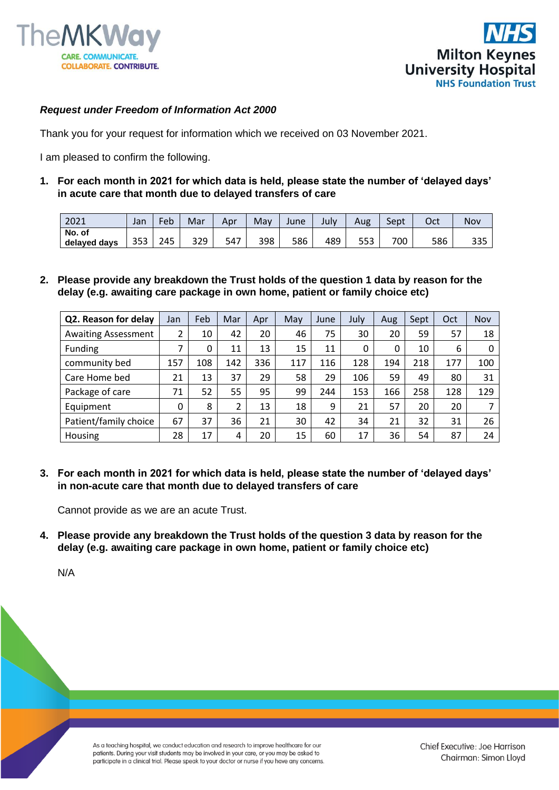



## *Request under Freedom of Information Act 2000*

Thank you for your request for information which we received on 03 November 2021.

I am pleased to confirm the following.

**1. For each month in 2021 for which data is held, please state the number of 'delayed days' in acute care that month due to delayed transfers of care**

| 2021         | Jan | Feb | Mar | Apr | Mav | June | July | Aug | Sept | Oct | Nov        |
|--------------|-----|-----|-----|-----|-----|------|------|-----|------|-----|------------|
| No. of       |     |     |     |     |     |      |      |     |      |     |            |
| delayed days | 353 | 245 | 329 | 547 | 398 | 586  | 489  | JJJ | 700  | 586 | つつに<br>၁၁၁ |

**2. Please provide any breakdown the Trust holds of the question 1 data by reason for the delay (e.g. awaiting care package in own home, patient or family choice etc)** 

| Q2. Reason for delay       | Jan | Feb | Mar | Apr | May | June | July | Aug | Sept | Oct | Nov |
|----------------------------|-----|-----|-----|-----|-----|------|------|-----|------|-----|-----|
| <b>Awaiting Assessment</b> | 2   | 10  | 42  | 20  | 46  | 75   | 30   | 20  | 59   | 57  | 18  |
| Funding                    | 7   | 0   | 11  | 13  | 15  | 11   | 0    | 0   | 10   | 6   |     |
| community bed              | 157 | 108 | 142 | 336 | 117 | 116  | 128  | 194 | 218  | 177 | 100 |
| Care Home bed              | 21  | 13  | 37  | 29  | 58  | 29   | 106  | 59  | 49   | 80  | 31  |
| Package of care            | 71  | 52  | 55  | 95  | 99  | 244  | 153  | 166 | 258  | 128 | 129 |
| Equipment                  | 0   | 8   | 2   | 13  | 18  | 9    | 21   | 57  | 20   | 20  |     |
| Patient/family choice      | 67  | 37  | 36  | 21  | 30  | 42   | 34   | 21  | 32   | 31  | 26  |
| Housing                    | 28  | 17  | 4   | 20  | 15  | 60   | 17   | 36  | 54   | 87  | 24  |

**3. For each month in 2021 for which data is held, please state the number of 'delayed days' in non-acute care that month due to delayed transfers of care**

Cannot provide as we are an acute Trust.

**4. Please provide any breakdown the Trust holds of the question 3 data by reason for the delay (e.g. awaiting care package in own home, patient or family choice etc)**

N/A

As a teaching hospital, we conduct education and research to improve healthcare for our patients. During your visit students may be involved in your care, or you may be asked to participate in a clinical trial. Please speak to your doctor or nurse if you have any concerns. Chief Executive: Joe Harrison Chairman: Simon Lloyd